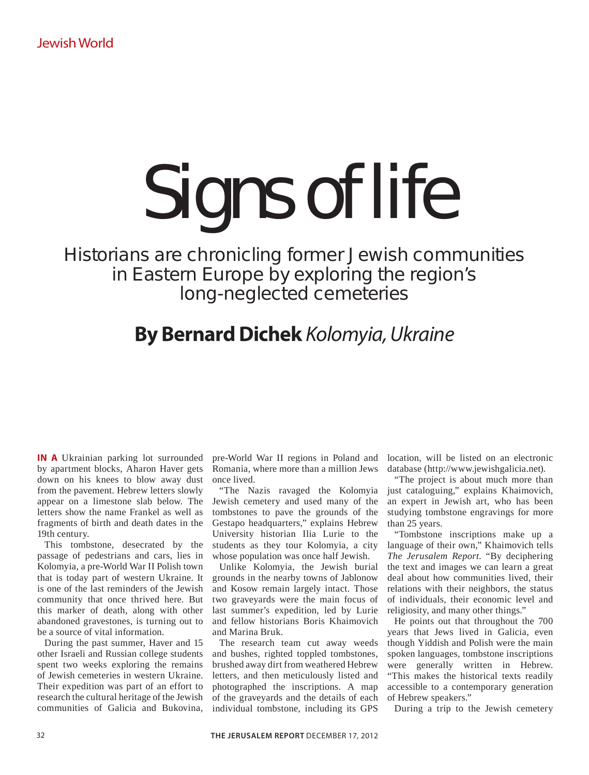## Signs of life

Historians are chronicling former Jewish communities in Eastern Europe by exploring the region's long-neglected cemeteries

## **By Bernard Dichek** Kolomyia, Ukraine

**IN A** Ukrainian parking lot surrounded by apartment blocks, Aharon Haver gets down on his knees to blow away dust from the pavement. Hebrew letters slowly appear on a limestone slab below. The letters show the name Frankel as well as fragments of birth and death dates in the 19th century.

This tombstone, desecrated by the passage of pedestrians and cars, lies in Kolomyia, a pre-World War II Polish town that is today part of western Ukraine. It is one of the last reminders of the Jewish community that once thrived here. But this marker of death, along with other abandoned gravestones, is turning out to be a source of vital information.

During the past summer, Haver and 15 other Israeli and Russian college students spent two weeks exploring the remains of Jewish cemeteries in western Ukraine. Their expedition was part of an effort to research the cultural heritage of the Jewish communities of Galicia and Bukovina,

pre-World War II regions in Poland and Romania, where more than a million Jews once lived.

"The Nazis ravaged the Kolomyia Jewish cemetery and used many of the tombstones to pave the grounds of the Gestapo headquarters," explains Hebrew University historian Ilia Lurie to the students as they tour Kolomyia, a city whose population was once half Jewish.

Unlike Kolomyia, the Jewish burial grounds in the nearby towns of Jablonow and Kosow remain largely intact. Those two graveyards were the main focus of last summer's expedition, led by Lurie and fellow historians Boris Khaimovich and Marina Bruk.

The research team cut away weeds and bushes, righted toppled tombstones, brushed away dirt from weathered Hebrew letters, and then meticulously listed and photographed the inscriptions. A map of the graveyards and the details of each individual tombstone, including its GPS

location, will be listed on an electronic database (http://www.jewishgalicia.net).

"The project is about much more than just cataloguing," explains Khaimovich, an expert in Jewish art, who has been studying tombstone engravings for more than 25 years.

"Tombstone inscriptions make up a language of their own," Khaimovich tells *The Jerusalem Report*. "By deciphering the text and images we can learn a great deal about how communities lived, their relations with their neighbors, the status of individuals, their economic level and religiosity, and many other things."

He points out that throughout the 700 years that Jews lived in Galicia, even though Yiddish and Polish were the main spoken languages, tombstone inscriptions were generally written in Hebrew. "This makes the historical texts readily accessible to a contemporary generation of Hebrew speakers."

During a trip to the Jewish cemetery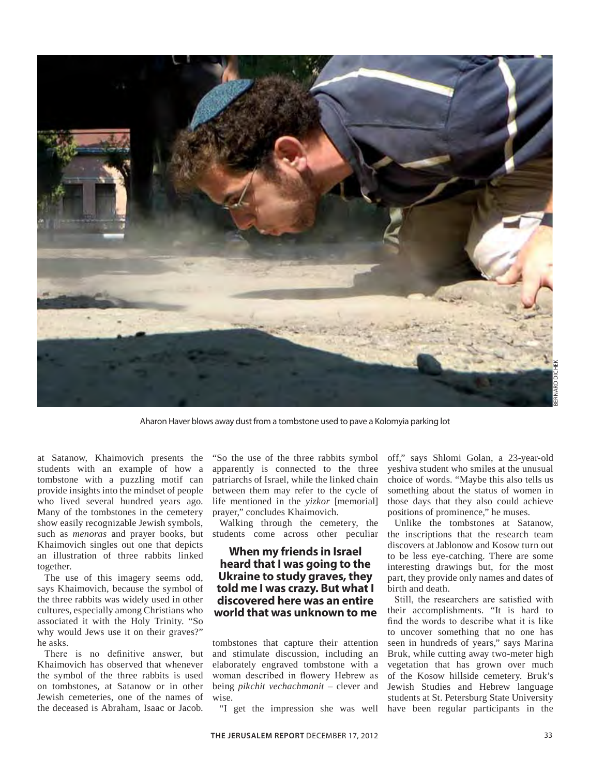

Aharon Haver blows away dust from a tombstone used to pave a Kolomyia parking lot

at Satanow, Khaimovich presents the students with an example of how a tombstone with a puzzling motif can provide insights into the mindset of people who lived several hundred years ago. Many of the tombstones in the cemetery show easily recognizable Jewish symbols, such as *menoras* and prayer books, but Khaimovich singles out one that depicts an illustration of three rabbits linked together.

The use of this imagery seems odd, says Khaimovich, because the symbol of the three rabbits was widely used in other cultures, especially among Christians who associated it with the Holy Trinity. "So why would Jews use it on their graves?" he asks.

There is no definitive answer, but Khaimovich has observed that whenever the symbol of the three rabbits is used on tombstones, at Satanow or in other Jewish cemeteries, one of the names of the deceased is Abraham, Isaac or Jacob.

"So the use of the three rabbits symbol apparently is connected to the three patriarchs of Israel, while the linked chain between them may refer to the cycle of life mentioned in the *yizkor* [memorial] prayer," concludes Khaimovich.

Walking through the cemetery, the students come across other peculiar

## **When my friends in Israel heard that I was going to the Ukraine to study graves, they told me I was crazy. But what I discovered here was an entire world that was unknown to me**

tombstones that capture their attention and stimulate discussion, including an elaborately engraved tombstone with a woman described in flowery Hebrew as being *pikchit vechachmanit* – clever and wise.

off," says Shlomi Golan, a 23-year-old yeshiva student who smiles at the unusual choice of words. "Maybe this also tells us something about the status of women in those days that they also could achieve positions of prominence," he muses.

Unlike the tombstones at Satanow, the inscriptions that the research team discovers at Jablonow and Kosow turn out to be less eye-catching. There are some interesting drawings but, for the most part, they provide only names and dates of birth and death.

"I get the impression she was well have been regular participants in the Still, the researchers are satisfied with their accomplishments. "It is hard to find the words to describe what it is like to uncover something that no one has seen in hundreds of years," says Marina Bruk, while cutting away two-meter high vegetation that has grown over much of the Kosow hillside cemetery. Bruk's Jewish Studies and Hebrew language students at St. Petersburg State University